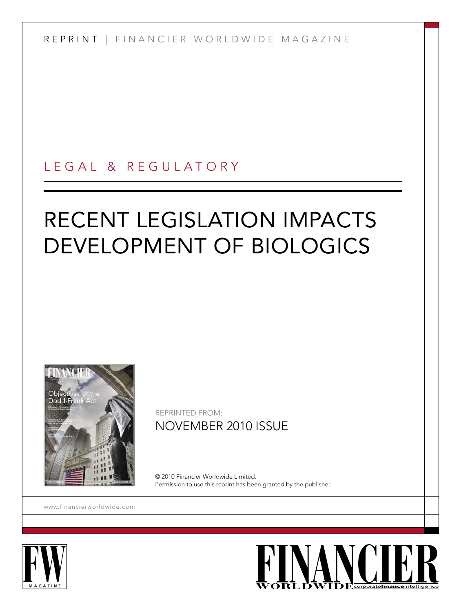R E P R I N T | F I N A N C I E R W O R L D W I D E M A G A Z I N E

## L E G A L & R E G U L A T O R Y

# RECENT LEGISLATION IMPACTS DEVELOPMENT OF BIOLOGICS



REPRINTED FROM: NOVEMBER 2010 ISSUE

© 2010 Financier Worldwide Limited. Permission to use this reprint has been granted by the publisher.

<www.financierworldwide.com>



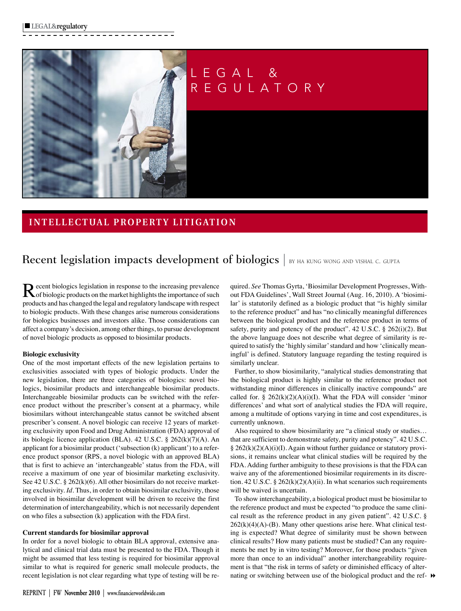

## L E G A L & R E G U L A T O R Y

### **I N T E L L E C T UA L P R O P E R T Y L I T I G AT I O N**

## Recent legislation impacts development of biologics | BY HA KUNG WONG AND VISHAL C. GUPTA

Recent biologics legislation in response to the increasing prevalence<br>
Sof biologic products on the market highlights the importance of such products and has changed the legal and regulatory landscape with respect to biologic products. With these changes arise numerous considerations for biologics businesses and investors alike. Those considerations can affect a company's decision, among other things, to pursue development of novel biologic products as opposed to biosimilar products.

#### **Biologic exclusivity**

One of the most important effects of the new legislation pertains to exclusivities associated with types of biologic products. Under the new legislation, there are three categories of biologics: novel biologics, biosimilar products and interchangeable biosimilar products. Interchangeable biosimilar products can be switched with the reference product without the prescriber's consent at a pharmacy, while biosimilars without interchangeable status cannot be switched absent prescriber's consent. A novel biologic can receive 12 years of marketing exclusivity upon Food and Drug Administration (FDA) approval of its biologic licence application (BLA). 42 U.S.C. § 262(k)(7)(A). An applicant for a biosimilar product ('subsection (k) applicant') to a reference product sponsor (RPS, a novel biologic with an approved BLA) that is first to achieve an 'interchangeable' status from the FDA, will receive a maximum of one year of biosimilar marketing exclusivity. See 42 U.S.C. § 262(k)(6). All other biosimilars do not receive marketing exclusivity. *Id.* Thus, in order to obtain biosimilar exclusivity, those involved in biosimilar development will be driven to receive the first determination of interchangeability, which is not necessarily dependent on who files a subsection (k) application with the FDA first.

#### **Current standards for biosimilar approval**

In order for a novel biologic to obtain BLA approval, extensive analytical and clinical trial data must be presented to the FDA. Though it might be assumed that less testing is required for biosimilar approval similar to what is required for generic small molecule products, the recent legislation is not clear regarding what type of testing will be re-

**REPRINT | FW November 2010 | www.financierworldwide.com**

quired. *See* Thomas Gyrta, 'Biosimilar Development Progresses, Without FDA Guidelines', Wall Street Journal (Aug. 16, 2010). A 'biosimilar' is statutorily defined as a biologic product that "is highly similar to the reference product" and has "no clinically meaningful differences between the biological product and the reference product in terms of safety, purity and potency of the product". 42 U.S.C. § 262(i)(2). But the above language does not describe what degree of similarity is required to satisfy the 'highly similar' standard and how 'clinically meaningful' is defined. Statutory language regarding the testing required is similarly unclear.

Further, to show biosimilarity, "analytical studies demonstrating that the biological product is highly similar to the reference product not withstanding minor differences in clinically inactive compounds" are called for. §  $262(k)(2)(A)(i)(I)$ . What the FDA will consider 'minor differences' and what sort of analytical studies the FDA will require, among a multitude of options varying in time and cost expenditures, is currently unknown.

Also required to show biosimilarity are "a clinical study or studies… that are sufficient to demonstrate safety, purity and potency". 42 U.S.C. § 262(k)(2)(A)(i)(I). Again without further guidance or statutory provisions, it remains unclear what clinical studies will be required by the FDA. Adding further ambiguity to these provisions is that the FDA can waive any of the aforementioned biosimilar requirements in its discretion. 42 U.S.C. §  $262(k)(2)(A)(ii)$ . In what scenarios such requirements will be waived is uncertain.

nating or switching between use of the biological product and the ref-  $\rightarrow$ To show interchangeability, a biological product must be biosimilar to the reference product and must be expected "to produce the same clinical result as the reference product in any given patient". 42 U.S.C. §  $262(k)(4)(A)$ -(B). Many other questions arise here. What clinical testing is expected? What degree of similarity must be shown between clinical results? How many patients must be studied? Can any requirements be met by in vitro testing? Moreover, for those products "given more than once to an individual" another interchangeability requirement is that "the risk in terms of safety or diminished efficacy of alter-